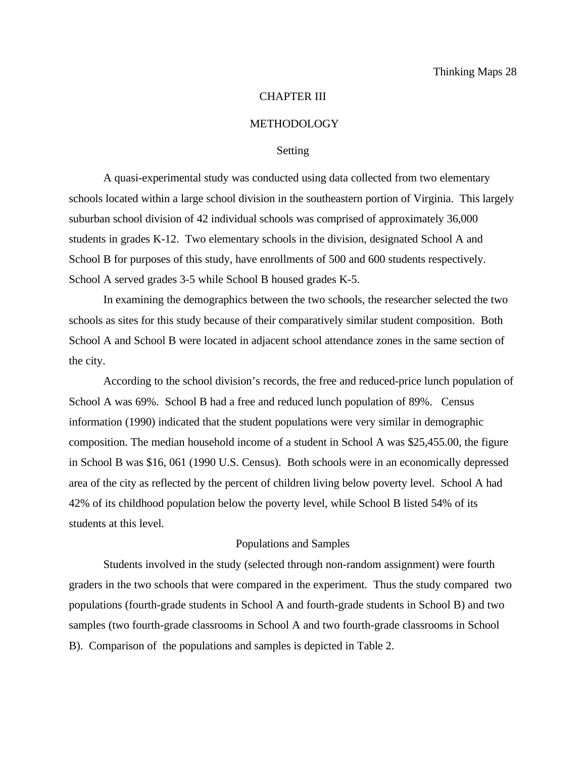#### CHAPTER III

#### METHODOLOGY

#### Setting

A quasi-experimental study was conducted using data collected from two elementary schools located within a large school division in the southeastern portion of Virginia. This largely suburban school division of 42 individual schools was comprised of approximately 36,000 students in grades K-12. Two elementary schools in the division, designated School A and School B for purposes of this study, have enrollments of 500 and 600 students respectively. School A served grades 3-5 while School B housed grades K-5.

In examining the demographics between the two schools, the researcher selected the two schools as sites for this study because of their comparatively similar student composition. Both School A and School B were located in adjacent school attendance zones in the same section of the city.

According to the school division's records, the free and reduced-price lunch population of School A was 69%. School B had a free and reduced lunch population of 89%. Census information (1990) indicated that the student populations were very similar in demographic composition. The median household income of a student in School A was \$25,455.00, the figure in School B was \$16, 061 (1990 U.S. Census). Both schools were in an economically depressed area of the city as reflected by the percent of children living below poverty level. School A had 42% of its childhood population below the poverty level, while School B listed 54% of its students at this level.

#### Populations and Samples

Students involved in the study (selected through non-random assignment) were fourth graders in the two schools that were compared in the experiment. Thus the study compared two populations (fourth-grade students in School A and fourth-grade students in School B) and two samples (two fourth-grade classrooms in School A and two fourth-grade classrooms in School B). Comparison of the populations and samples is depicted in Table 2.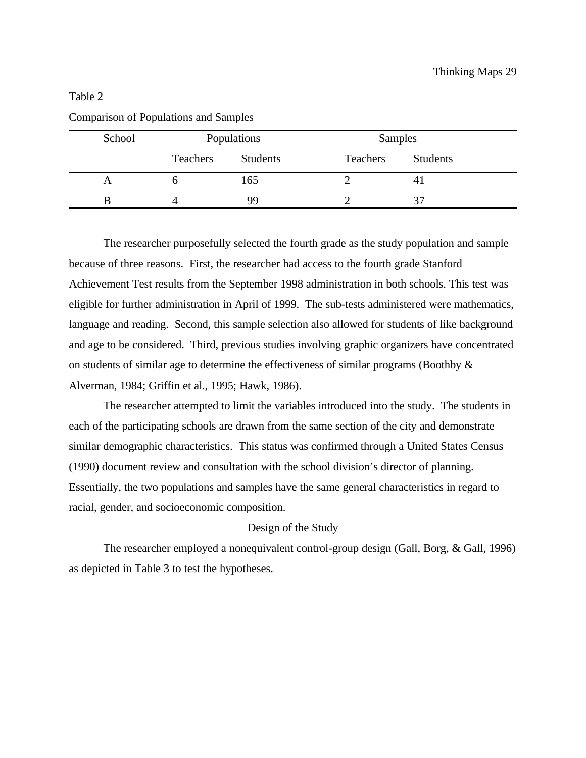| School | Populations |                 | Samples  |          |
|--------|-------------|-----------------|----------|----------|
|        | Teachers    | <b>Students</b> | Teachers | Students |
| A      |             | 165             |          |          |
| B      |             | 99              |          | 37       |

Comparison of Populations and Samples

The researcher purposefully selected the fourth grade as the study population and sample because of three reasons. First, the researcher had access to the fourth grade Stanford Achievement Test results from the September 1998 administration in both schools. This test was eligible for further administration in April of 1999. The sub-tests administered were mathematics, language and reading. Second, this sample selection also allowed for students of like background and age to be considered. Third, previous studies involving graphic organizers have concentrated on students of similar age to determine the effectiveness of similar programs (Boothby & Alverman, 1984; Griffin et al., 1995; Hawk, 1986).

The researcher attempted to limit the variables introduced into the study. The students in each of the participating schools are drawn from the same section of the city and demonstrate similar demographic characteristics. This status was confirmed through a United States Census (1990) document review and consultation with the school division's director of planning. Essentially, the two populations and samples have the same general characteristics in regard to racial, gender, and socioeconomic composition.

# Design of the Study

The researcher employed a nonequivalent control-group design (Gall, Borg, & Gall, 1996) as depicted in Table 3 to test the hypotheses.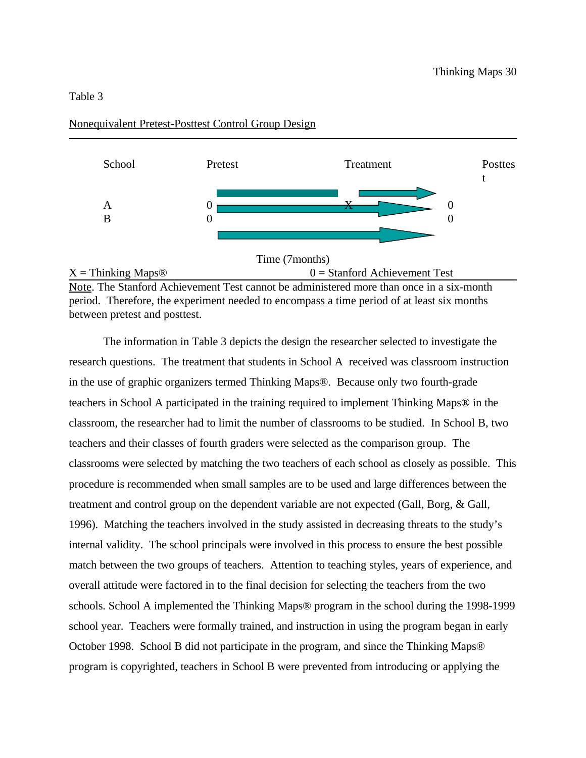

# Nonequivalent Pretest-Posttest Control Group Design

Note. The Stanford Achievement Test cannot be administered more than once in a six-month period. Therefore, the experiment needed to encompass a time period of at least six months between pretest and posttest.

The information in Table 3 depicts the design the researcher selected to investigate the research questions. The treatment that students in School A received was classroom instruction in the use of graphic organizers termed Thinking Maps®. Because only two fourth-grade teachers in School A participated in the training required to implement Thinking Maps® in the classroom, the researcher had to limit the number of classrooms to be studied. In School B, two teachers and their classes of fourth graders were selected as the comparison group. The classrooms were selected by matching the two teachers of each school as closely as possible. This procedure is recommended when small samples are to be used and large differences between the treatment and control group on the dependent variable are not expected (Gall, Borg, & Gall, 1996). Matching the teachers involved in the study assisted in decreasing threats to the study's internal validity. The school principals were involved in this process to ensure the best possible match between the two groups of teachers. Attention to teaching styles, years of experience, and overall attitude were factored in to the final decision for selecting the teachers from the two schools. School A implemented the Thinking Maps® program in the school during the 1998-1999 school year. Teachers were formally trained, and instruction in using the program began in early October 1998. School B did not participate in the program, and since the Thinking Maps® program is copyrighted, teachers in School B were prevented from introducing or applying the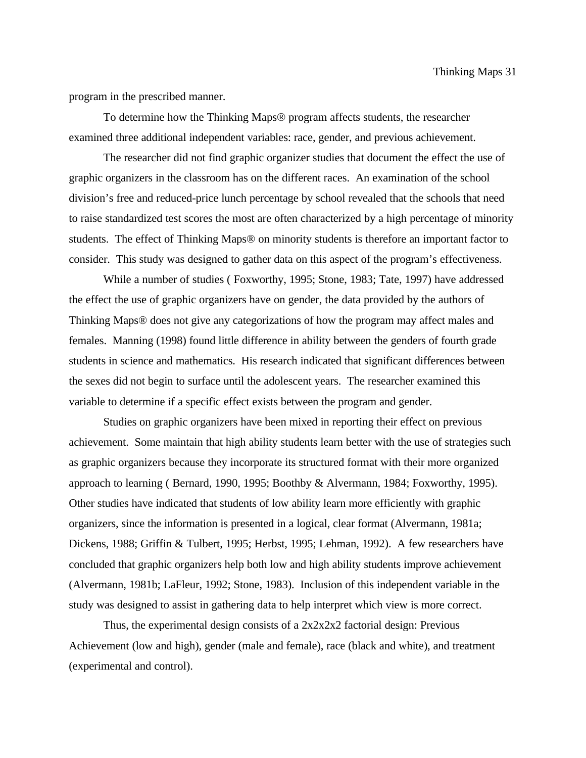program in the prescribed manner.

To determine how the Thinking Maps® program affects students, the researcher examined three additional independent variables: race, gender, and previous achievement.

The researcher did not find graphic organizer studies that document the effect the use of graphic organizers in the classroom has on the different races. An examination of the school division's free and reduced-price lunch percentage by school revealed that the schools that need to raise standardized test scores the most are often characterized by a high percentage of minority students. The effect of Thinking Maps® on minority students is therefore an important factor to consider. This study was designed to gather data on this aspect of the program's effectiveness.

While a number of studies ( Foxworthy, 1995; Stone, 1983; Tate, 1997) have addressed the effect the use of graphic organizers have on gender, the data provided by the authors of Thinking Maps® does not give any categorizations of how the program may affect males and females. Manning (1998) found little difference in ability between the genders of fourth grade students in science and mathematics. His research indicated that significant differences between the sexes did not begin to surface until the adolescent years. The researcher examined this variable to determine if a specific effect exists between the program and gender.

Studies on graphic organizers have been mixed in reporting their effect on previous achievement. Some maintain that high ability students learn better with the use of strategies such as graphic organizers because they incorporate its structured format with their more organized approach to learning ( Bernard, 1990, 1995; Boothby & Alvermann, 1984; Foxworthy, 1995). Other studies have indicated that students of low ability learn more efficiently with graphic organizers, since the information is presented in a logical, clear format (Alvermann, 1981a; Dickens, 1988; Griffin & Tulbert, 1995; Herbst, 1995; Lehman, 1992). A few researchers have concluded that graphic organizers help both low and high ability students improve achievement (Alvermann, 1981b; LaFleur, 1992; Stone, 1983). Inclusion of this independent variable in the study was designed to assist in gathering data to help interpret which view is more correct.

Thus, the experimental design consists of a 2x2x2x2 factorial design: Previous Achievement (low and high), gender (male and female), race (black and white), and treatment (experimental and control).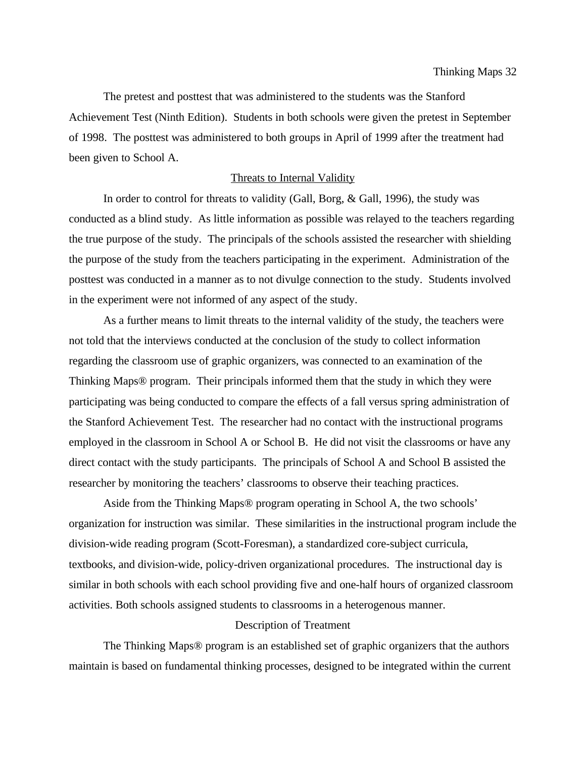The pretest and posttest that was administered to the students was the Stanford Achievement Test (Ninth Edition). Students in both schools were given the pretest in September of 1998. The posttest was administered to both groups in April of 1999 after the treatment had been given to School A.

#### Threats to Internal Validity

In order to control for threats to validity (Gall, Borg, & Gall, 1996), the study was conducted as a blind study. As little information as possible was relayed to the teachers regarding the true purpose of the study. The principals of the schools assisted the researcher with shielding the purpose of the study from the teachers participating in the experiment. Administration of the posttest was conducted in a manner as to not divulge connection to the study. Students involved in the experiment were not informed of any aspect of the study.

As a further means to limit threats to the internal validity of the study, the teachers were not told that the interviews conducted at the conclusion of the study to collect information regarding the classroom use of graphic organizers, was connected to an examination of the Thinking Maps® program. Their principals informed them that the study in which they were participating was being conducted to compare the effects of a fall versus spring administration of the Stanford Achievement Test. The researcher had no contact with the instructional programs employed in the classroom in School A or School B. He did not visit the classrooms or have any direct contact with the study participants. The principals of School A and School B assisted the researcher by monitoring the teachers' classrooms to observe their teaching practices.

Aside from the Thinking Maps® program operating in School A, the two schools' organization for instruction was similar. These similarities in the instructional program include the division-wide reading program (Scott-Foresman), a standardized core-subject curricula, textbooks, and division-wide, policy-driven organizational procedures. The instructional day is similar in both schools with each school providing five and one-half hours of organized classroom activities. Both schools assigned students to classrooms in a heterogenous manner.

#### Description of Treatment

The Thinking Maps® program is an established set of graphic organizers that the authors maintain is based on fundamental thinking processes, designed to be integrated within the current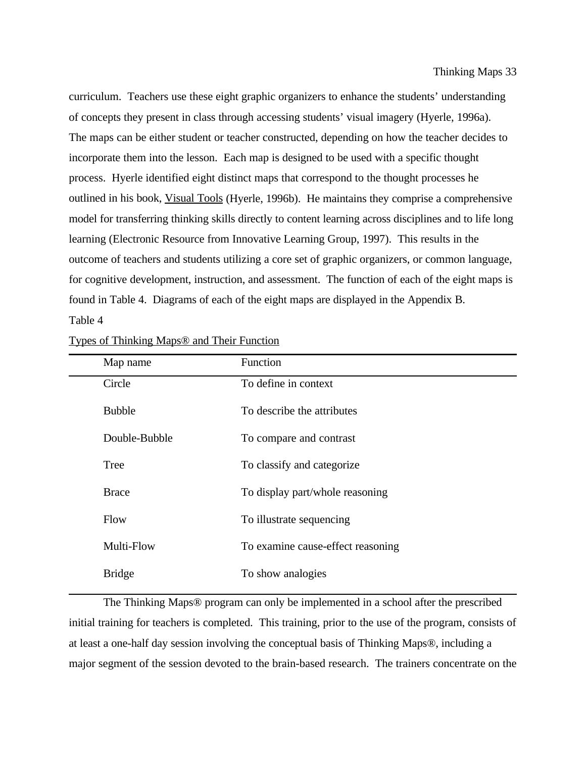curriculum. Teachers use these eight graphic organizers to enhance the students' understanding of concepts they present in class through accessing students' visual imagery (Hyerle, 1996a). The maps can be either student or teacher constructed, depending on how the teacher decides to incorporate them into the lesson. Each map is designed to be used with a specific thought process. Hyerle identified eight distinct maps that correspond to the thought processes he outlined in his book, Visual Tools (Hyerle, 1996b). He maintains they comprise a comprehensive model for transferring thinking skills directly to content learning across disciplines and to life long learning (Electronic Resource from Innovative Learning Group, 1997). This results in the outcome of teachers and students utilizing a core set of graphic organizers, or common language, for cognitive development, instruction, and assessment. The function of each of the eight maps is found in Table 4. Diagrams of each of the eight maps are displayed in the Appendix B.

Table 4

| Map name      | <b>Function</b>                   |
|---------------|-----------------------------------|
| Circle        | To define in context              |
| <b>Bubble</b> | To describe the attributes        |
| Double-Bubble | To compare and contrast           |
| Tree          | To classify and categorize        |
| <b>Brace</b>  | To display part/whole reasoning   |
| Flow          | To illustrate sequencing          |
| Multi-Flow    | To examine cause-effect reasoning |
| <b>Bridge</b> | To show analogies                 |

Types of Thinking Maps® and Their Function

The Thinking Maps® program can only be implemented in a school after the prescribed initial training for teachers is completed. This training, prior to the use of the program, consists of at least a one-half day session involving the conceptual basis of Thinking Maps®, including a major segment of the session devoted to the brain-based research. The trainers concentrate on the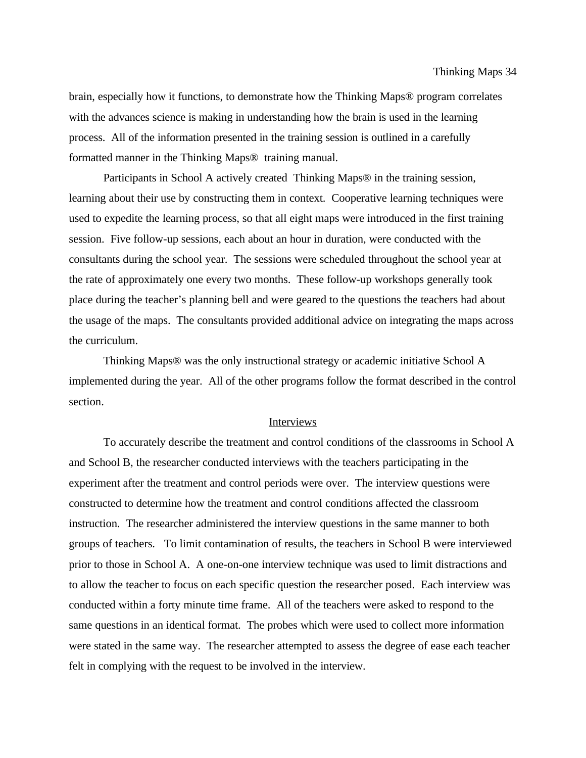brain, especially how it functions, to demonstrate how the Thinking Maps® program correlates with the advances science is making in understanding how the brain is used in the learning process. All of the information presented in the training session is outlined in a carefully formatted manner in the Thinking Maps® training manual.

Participants in School A actively created Thinking Maps® in the training session, learning about their use by constructing them in context. Cooperative learning techniques were used to expedite the learning process, so that all eight maps were introduced in the first training session. Five follow-up sessions, each about an hour in duration, were conducted with the consultants during the school year. The sessions were scheduled throughout the school year at the rate of approximately one every two months. These follow-up workshops generally took place during the teacher's planning bell and were geared to the questions the teachers had about the usage of the maps. The consultants provided additional advice on integrating the maps across the curriculum.

Thinking Maps® was the only instructional strategy or academic initiative School A implemented during the year. All of the other programs follow the format described in the control section.

## Interviews

To accurately describe the treatment and control conditions of the classrooms in School A and School B, the researcher conducted interviews with the teachers participating in the experiment after the treatment and control periods were over. The interview questions were constructed to determine how the treatment and control conditions affected the classroom instruction. The researcher administered the interview questions in the same manner to both groups of teachers. To limit contamination of results, the teachers in School B were interviewed prior to those in School A. A one-on-one interview technique was used to limit distractions and to allow the teacher to focus on each specific question the researcher posed. Each interview was conducted within a forty minute time frame. All of the teachers were asked to respond to the same questions in an identical format. The probes which were used to collect more information were stated in the same way. The researcher attempted to assess the degree of ease each teacher felt in complying with the request to be involved in the interview.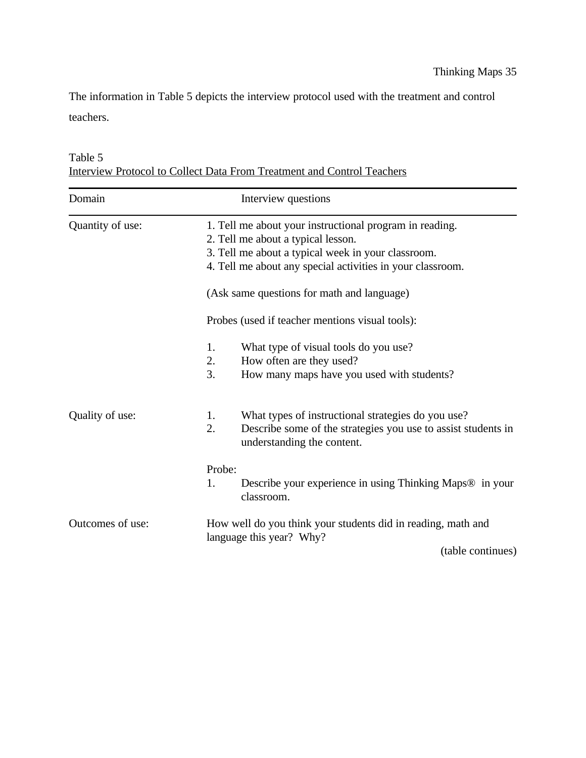The information in Table 5 depicts the interview protocol used with the treatment and control teachers.

| Table 5                                                                |  |  |
|------------------------------------------------------------------------|--|--|
| Interview Protocol to Collect Data From Treatment and Control Teachers |  |  |

| Domain           | Interview questions                                                                                                                                                                                               |
|------------------|-------------------------------------------------------------------------------------------------------------------------------------------------------------------------------------------------------------------|
| Quantity of use: | 1. Tell me about your instructional program in reading.<br>2. Tell me about a typical lesson.<br>3. Tell me about a typical week in your classroom.<br>4. Tell me about any special activities in your classroom. |
|                  | (Ask same questions for math and language)                                                                                                                                                                        |
|                  | Probes (used if teacher mentions visual tools):                                                                                                                                                                   |
|                  | 1.<br>What type of visual tools do you use?<br>2.<br>How often are they used?<br>3.<br>How many maps have you used with students?                                                                                 |
| Quality of use:  | What types of instructional strategies do you use?<br>1.<br>2.<br>Describe some of the strategies you use to assist students in<br>understanding the content.                                                     |
|                  | Probe:<br>1.<br>Describe your experience in using Thinking Maps® in your<br>classroom.                                                                                                                            |
| Outcomes of use: | How well do you think your students did in reading, math and<br>language this year? Why?                                                                                                                          |
|                  | (table continues)                                                                                                                                                                                                 |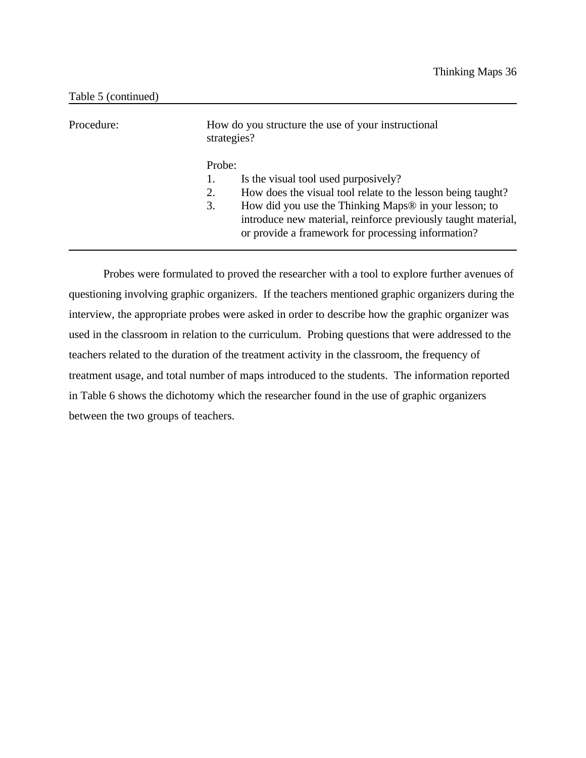| Procedure: | How do you structure the use of your instructional<br>strategies?                                                                                                                                                                                                                                         |
|------------|-----------------------------------------------------------------------------------------------------------------------------------------------------------------------------------------------------------------------------------------------------------------------------------------------------------|
|            | Probe:<br>Is the visual tool used purposively?<br>How does the visual tool relate to the lesson being taught?<br>2.<br>How did you use the Thinking Maps® in your lesson; to<br>3.<br>introduce new material, reinforce previously taught material,<br>or provide a framework for processing information? |

Probes were formulated to proved the researcher with a tool to explore further avenues of questioning involving graphic organizers. If the teachers mentioned graphic organizers during the interview, the appropriate probes were asked in order to describe how the graphic organizer was used in the classroom in relation to the curriculum. Probing questions that were addressed to the teachers related to the duration of the treatment activity in the classroom, the frequency of treatment usage, and total number of maps introduced to the students. The information reported in Table 6 shows the dichotomy which the researcher found in the use of graphic organizers between the two groups of teachers.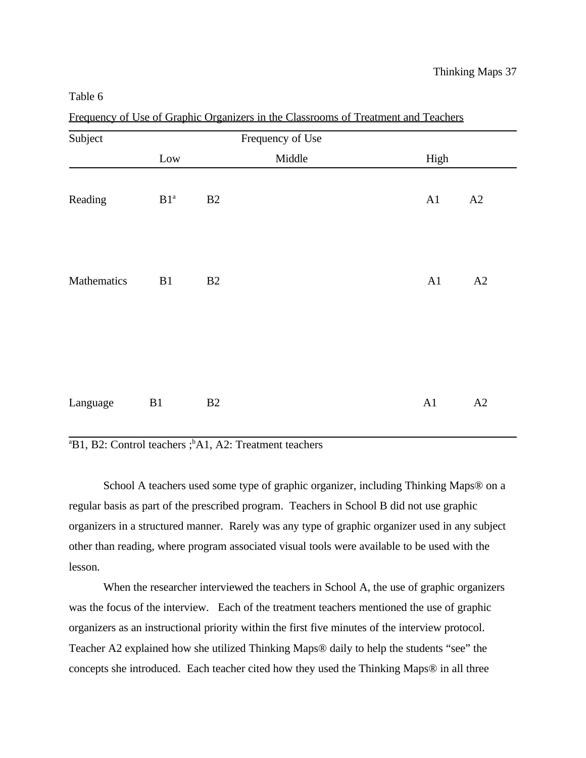| Subject     |                 |    | Frequency of Use |      |    |
|-------------|-----------------|----|------------------|------|----|
|             | Low             |    | Middle           | High |    |
| Reading     | B1 <sup>a</sup> | B2 |                  | A1   | A2 |
| Mathematics | B1              | B2 |                  | A1   | A2 |
| Language    | B1              | B2 |                  | A1   | A2 |

Frequency of Use of Graphic Organizers in the Classrooms of Treatment and Teachers

 $B<sup>a</sup>B1$ , B2: Control teachers ;  $<sup>b</sup>A1$ , A2: Treatment teachers</sup>

School A teachers used some type of graphic organizer, including Thinking Maps® on a regular basis as part of the prescribed program. Teachers in School B did not use graphic organizers in a structured manner. Rarely was any type of graphic organizer used in any subject other than reading, where program associated visual tools were available to be used with the lesson.

When the researcher interviewed the teachers in School A, the use of graphic organizers was the focus of the interview. Each of the treatment teachers mentioned the use of graphic organizers as an instructional priority within the first five minutes of the interview protocol. Teacher A2 explained how she utilized Thinking Maps® daily to help the students "see" the concepts she introduced. Each teacher cited how they used the Thinking Maps® in all three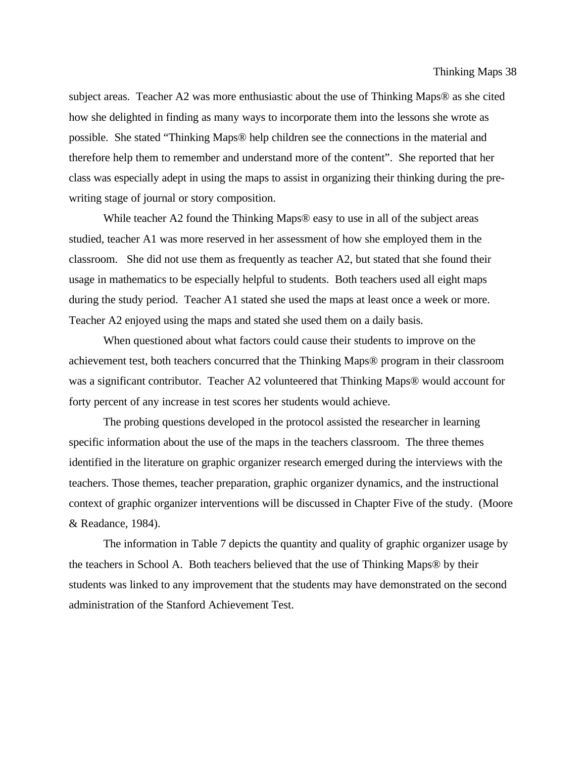subject areas. Teacher A2 was more enthusiastic about the use of Thinking Maps® as she cited how she delighted in finding as many ways to incorporate them into the lessons she wrote as possible. She stated "Thinking Maps® help children see the connections in the material and therefore help them to remember and understand more of the content". She reported that her class was especially adept in using the maps to assist in organizing their thinking during the prewriting stage of journal or story composition.

While teacher A2 found the Thinking Maps® easy to use in all of the subject areas studied, teacher A1 was more reserved in her assessment of how she employed them in the classroom. She did not use them as frequently as teacher A2, but stated that she found their usage in mathematics to be especially helpful to students. Both teachers used all eight maps during the study period. Teacher A1 stated she used the maps at least once a week or more. Teacher A2 enjoyed using the maps and stated she used them on a daily basis.

When questioned about what factors could cause their students to improve on the achievement test, both teachers concurred that the Thinking Maps® program in their classroom was a significant contributor. Teacher A2 volunteered that Thinking Maps® would account for forty percent of any increase in test scores her students would achieve.

The probing questions developed in the protocol assisted the researcher in learning specific information about the use of the maps in the teachers classroom. The three themes identified in the literature on graphic organizer research emerged during the interviews with the teachers. Those themes, teacher preparation, graphic organizer dynamics, and the instructional context of graphic organizer interventions will be discussed in Chapter Five of the study. (Moore & Readance, 1984).

The information in Table 7 depicts the quantity and quality of graphic organizer usage by the teachers in School A. Both teachers believed that the use of Thinking Maps® by their students was linked to any improvement that the students may have demonstrated on the second administration of the Stanford Achievement Test.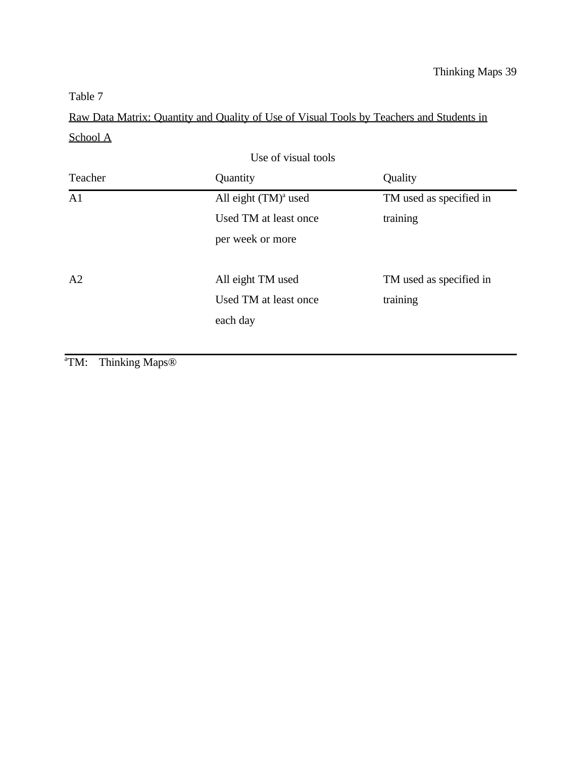Raw Data Matrix: Quantity and Quality of Use of Visual Tools by Teachers and Students in School A

| Use of visual tools |                         |                         |  |  |
|---------------------|-------------------------|-------------------------|--|--|
| Teacher             | Quantity                | Quality                 |  |  |
| A <sub>1</sub>      | All eight $(TM)^a$ used | TM used as specified in |  |  |
|                     | Used TM at least once   | training                |  |  |
|                     | per week or more        |                         |  |  |
|                     |                         |                         |  |  |
| A2                  | All eight TM used       | TM used as specified in |  |  |
|                     | Used TM at least once   | training                |  |  |
|                     | each day                |                         |  |  |
|                     |                         |                         |  |  |

<sup>a</sup>TM: Thinking Maps<sup>®</sup>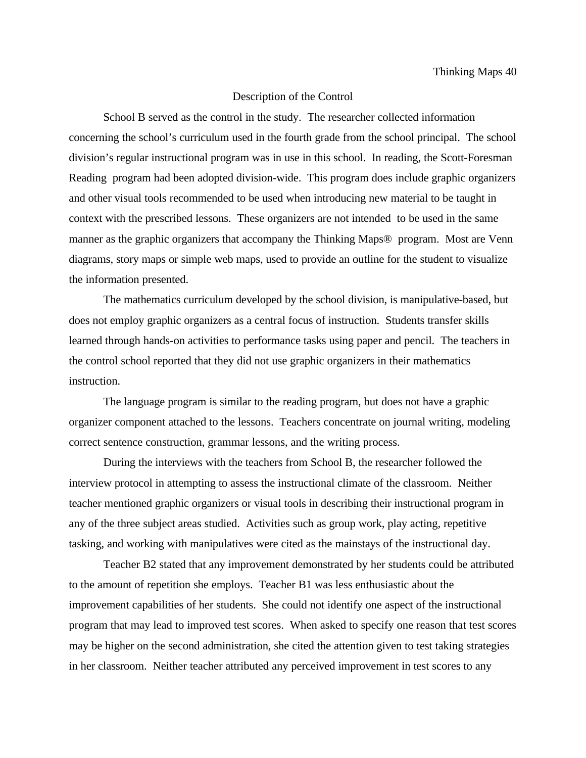# Description of the Control

School B served as the control in the study. The researcher collected information concerning the school's curriculum used in the fourth grade from the school principal. The school division's regular instructional program was in use in this school. In reading, the Scott-Foresman Reading program had been adopted division-wide. This program does include graphic organizers and other visual tools recommended to be used when introducing new material to be taught in context with the prescribed lessons. These organizers are not intended to be used in the same manner as the graphic organizers that accompany the Thinking Maps® program. Most are Venn diagrams, story maps or simple web maps, used to provide an outline for the student to visualize the information presented.

The mathematics curriculum developed by the school division, is manipulative-based, but does not employ graphic organizers as a central focus of instruction. Students transfer skills learned through hands-on activities to performance tasks using paper and pencil. The teachers in the control school reported that they did not use graphic organizers in their mathematics instruction.

The language program is similar to the reading program, but does not have a graphic organizer component attached to the lessons. Teachers concentrate on journal writing, modeling correct sentence construction, grammar lessons, and the writing process.

During the interviews with the teachers from School B, the researcher followed the interview protocol in attempting to assess the instructional climate of the classroom. Neither teacher mentioned graphic organizers or visual tools in describing their instructional program in any of the three subject areas studied. Activities such as group work, play acting, repetitive tasking, and working with manipulatives were cited as the mainstays of the instructional day.

Teacher B2 stated that any improvement demonstrated by her students could be attributed to the amount of repetition she employs. Teacher B1 was less enthusiastic about the improvement capabilities of her students. She could not identify one aspect of the instructional program that may lead to improved test scores. When asked to specify one reason that test scores may be higher on the second administration, she cited the attention given to test taking strategies in her classroom. Neither teacher attributed any perceived improvement in test scores to any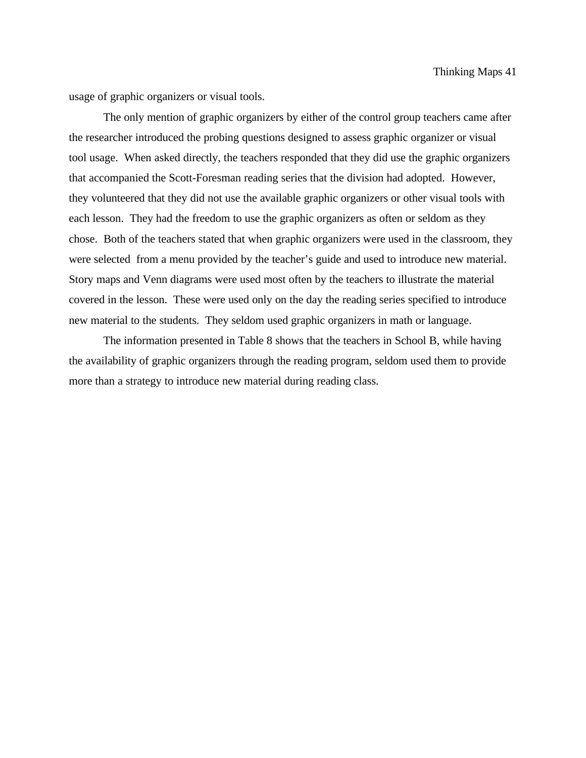usage of graphic organizers or visual tools.

The only mention of graphic organizers by either of the control group teachers came after the researcher introduced the probing questions designed to assess graphic organizer or visual tool usage. When asked directly, the teachers responded that they did use the graphic organizers that accompanied the Scott-Foresman reading series that the division had adopted. However, they volunteered that they did not use the available graphic organizers or other visual tools with each lesson. They had the freedom to use the graphic organizers as often or seldom as they chose. Both of the teachers stated that when graphic organizers were used in the classroom, they were selected from a menu provided by the teacher's guide and used to introduce new material. Story maps and Venn diagrams were used most often by the teachers to illustrate the material covered in the lesson. These were used only on the day the reading series specified to introduce new material to the students. They seldom used graphic organizers in math or language.

The information presented in Table 8 shows that the teachers in School B, while having the availability of graphic organizers through the reading program, seldom used them to provide more than a strategy to introduce new material during reading class.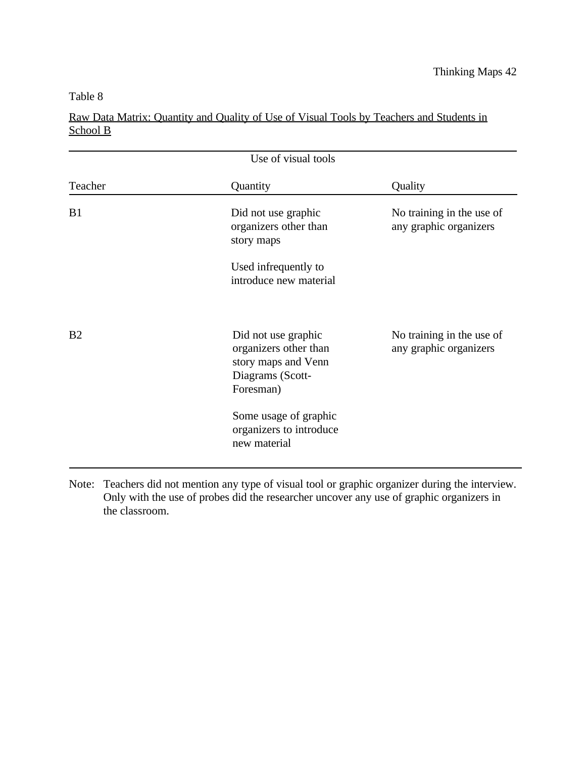# Raw Data Matrix: Quantity and Quality of Use of Visual Tools by Teachers and Students in School B

| Use of visual tools |                                                                                                      |                                                     |  |  |
|---------------------|------------------------------------------------------------------------------------------------------|-----------------------------------------------------|--|--|
| Teacher             | Quantity                                                                                             | Quality                                             |  |  |
| B1                  | Did not use graphic<br>organizers other than<br>story maps                                           | No training in the use of<br>any graphic organizers |  |  |
|                     | Used infrequently to<br>introduce new material                                                       |                                                     |  |  |
| B <sub>2</sub>      | Did not use graphic<br>organizers other than<br>story maps and Venn<br>Diagrams (Scott-<br>Foresman) | No training in the use of<br>any graphic organizers |  |  |
|                     | Some usage of graphic<br>organizers to introduce<br>new material                                     |                                                     |  |  |

Note: Teachers did not mention any type of visual tool or graphic organizer during the interview. Only with the use of probes did the researcher uncover any use of graphic organizers in the classroom.